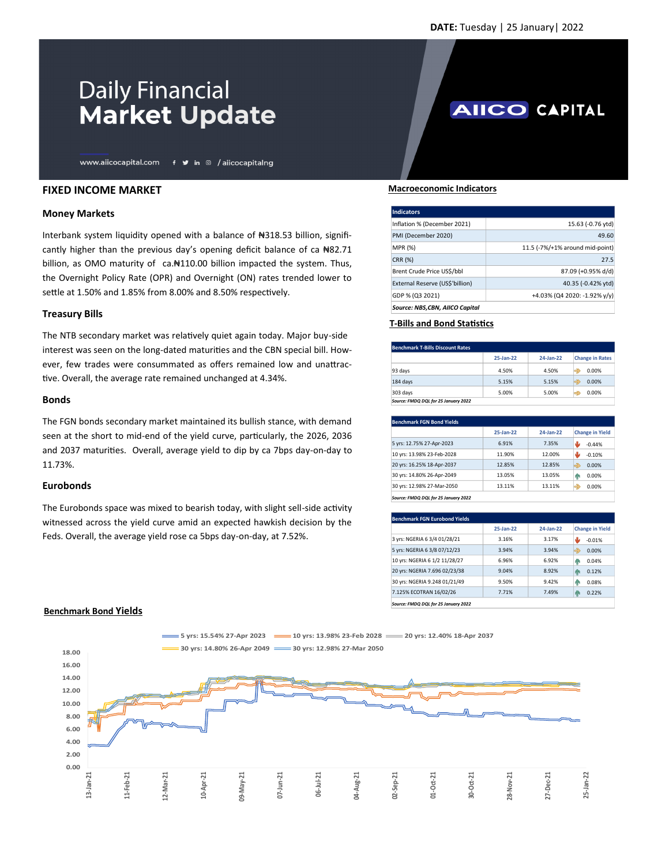**AIICO CAPITAL** 

# **Daily Financial Market Update**

www.aiicocapital.com f y in @ /aiicocapitalng

## **FIXED INCOME MARKET**

## **Money Markets**

Interbank system liquidity opened with a balance of #318.53 billion, significantly higher than the previous day's opening deficit balance of ca  $#82.71$ billion, as OMO maturity of ca.#110.00 billion impacted the system. Thus, the Overnight Policy Rate (OPR) and Overnight (ON) rates trended lower to settle at 1.50% and 1.85% from 8.00% and 8.50% respectively.

#### **Treasury Bills**

The NTB secondary market was relatively quiet again today. Major buy-side interest was seen on the long-dated maturities and the CBN special bill. However, few trades were consummated as offers remained low and unattractive. Overall, the average rate remained unchanged at 4.34%.

### **Bonds**

The FGN bonds secondary market maintained its bullish stance, with demand seen at the short to mid-end of the yield curve, particularly, the 2026, 2036 and 2037 maturities. Overall, average yield to dip by ca 7bps day-on-day to 11.73%.

#### **Eurobonds**

The Eurobonds space was mixed to bearish today, with slight sell-side activity witnessed across the yield curve amid an expected hawkish decision by the Feds. Overall, the average yield rose ca 5bps day-on-day, at 7.52%.

 **Macroeconomic Indicators**

| <b>Indicators</b>               |                                 |
|---------------------------------|---------------------------------|
| Inflation % (December 2021)     | 15.63 (-0.76 ytd)               |
| PMI (December 2020)             | 49.60                           |
| MPR (%)                         | 11.5 (-7%/+1% around mid-point) |
| CRR (%)                         | 27.5                            |
| Brent Crude Price USS/bbl       | 87.09 (+0.95% d/d)              |
| External Reserve (US\$'billion) | 40.35 (-0.42% ytd)              |
| GDP % (Q3 2021)                 | +4.03% (Q4 2020: -1.92% y/y)    |
| Source: NBS,CBN, AIICO Capital  |                                 |

## **T-Bills and Bond Statistics**

| Benchmark T-Bills Discount Rates     |           |           |                        |  |  |
|--------------------------------------|-----------|-----------|------------------------|--|--|
|                                      | 25-Jan-22 | 24-Jan-22 | <b>Change in Rates</b> |  |  |
| 93 days                              | 4.50%     | 4.50%     | G)<br>0.00%            |  |  |
| 184 days                             | 5.15%     | 5.15%     | ą,<br>0.00%            |  |  |
| 303 days                             | 5.00%     | 5.00%     | G)<br>0.00%            |  |  |
| Source: FMDQ DQL for 25 January 2022 |           |           |                        |  |  |

|                            | $25$ -Jan- $22$ | 24-Jan-22 | <b>Change in Yield</b> |
|----------------------------|-----------------|-----------|------------------------|
| 5 yrs: 12.75% 27-Apr-2023  | 6.91%           | 7.35%     | ىلل<br>$-0.44%$        |
| 10 yrs: 13.98% 23-Feb-2028 | 11.90%          | 12.00%    | ىلل<br>$-0.10%$        |
| 20 yrs: 16.25% 18-Apr-2037 | 12.85%          | 12.85%    | -9<br>0.00%            |
| 30 yrs: 14.80% 26-Apr-2049 | 13.05%          | 13.05%    | 0.00%<br>η.            |
| 30 yrs: 12.98% 27-Mar-2050 | 13.11%          | 13.11%    | e)<br>0.00%            |

| <b>Benchmark FGN Eurobond Yields</b> |                 |           |                        |  |  |
|--------------------------------------|-----------------|-----------|------------------------|--|--|
|                                      | $25$ -Jan- $22$ | 24-Jan-22 | <b>Change in Yield</b> |  |  |
| 3 yrs: NGERIA 6 3/4 01/28/21         | 3.16%           | 3.17%     | تلل<br>$-0.01%$        |  |  |
| 5 yrs: NGERIA 6 3/8 07/12/23         | 3.94%           | 3.94%     | ⇛<br>0.00%             |  |  |
| 10 yrs: NGERIA 6 1/2 11/28/27        | 6.96%           | 6.92%     | 0.04%<br>40            |  |  |
| 20 yrs: NGERIA 7.696 02/23/38        | 9.04%           | 8.92%     | 0.12%<br>40            |  |  |
| 30 yrs: NGERIA 9.248 01/21/49        | 9.50%           | 9.42%     | 0.08%<br>40            |  |  |
| 7.125% ECOTRAN 16/02/26              | 7.71%           | 7.49%     | 0.22%<br>40            |  |  |
| Source: FMDO DOL for 25 January 2022 |                 |           |                        |  |  |

*Source: FMDQ DQL for 25 January 2022*



**5 yrs: 15.54% 27-Apr 2023 10 yrs: 13.98% 23-Feb 2028 20 yrs: 12.40% 18-Apr 2037**

#### **Benchmark Bond Yields**